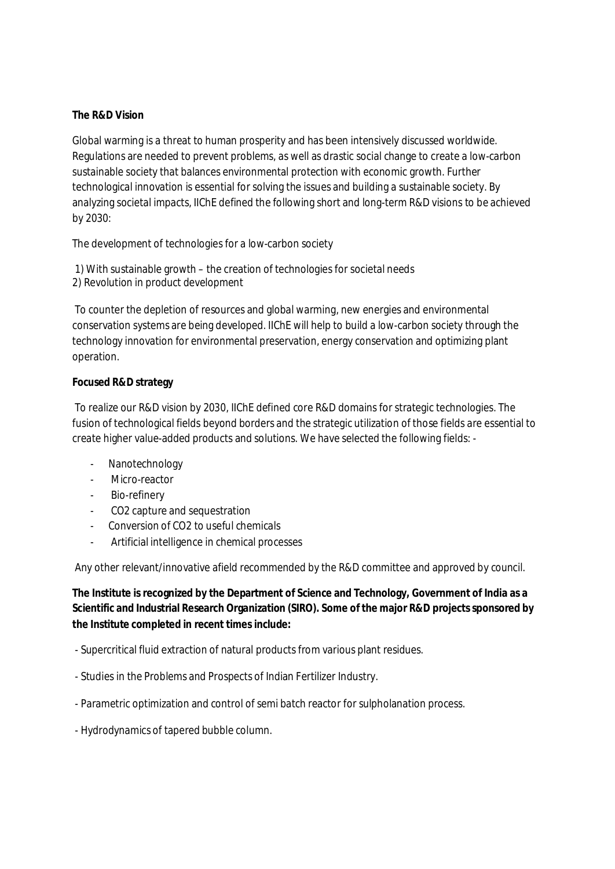# **The R&D Vision**

Global warming is a threat to human prosperity and has been intensively discussed worldwide. Regulations are needed to prevent problems, as well as drastic social change to create a low-carbon sustainable society that balances environmental protection with economic growth. Further technological innovation is essential for solving the issues and building a sustainable society. By analyzing societal impacts, IIChE defined the following short and long-term R&D visions to be achieved by 2030:

The development of technologies for a low-carbon society

1) With sustainable growth – the creation of technologies for societal needs 2) Revolution in product development

To counter the depletion of resources and global warming, new energies and environmental conservation systems are being developed. IIChE will help to build a low-carbon society through the technology innovation for environmental preservation, energy conservation and optimizing plant operation.

### **Focused R&D strategy**

To realize our R&D vision by 2030, IIChE defined core R&D domains for strategic technologies. The fusion of technological fields beyond borders and the strategic utilization of those fields are essential to create higher value-added products and solutions. We have selected the following fields: -

- Nanotechnology
- Micro-reactor
- Bio-refinery
- CO2 capture and sequestration
- Conversion of CO2 to useful chemicals
- Artificial intelligence in chemical processes

Any other relevant/innovative afield recommended by the R&D committee and approved by council.

**The Institute is recognized by the Department of Science and Technology, Government of India as a Scientific and Industrial Research Organization (SIRO). Some of the major R&D projectssponsored by the Institute completed in recent times include:**

- Supercritical fluid extraction of natural products from various plant residues.
- Studies in the Problems and Prospects of Indian Fertilizer Industry.
- Parametric optimization and control of semi batch reactor for sulpholanation process.
- Hydrodynamics of tapered bubble column.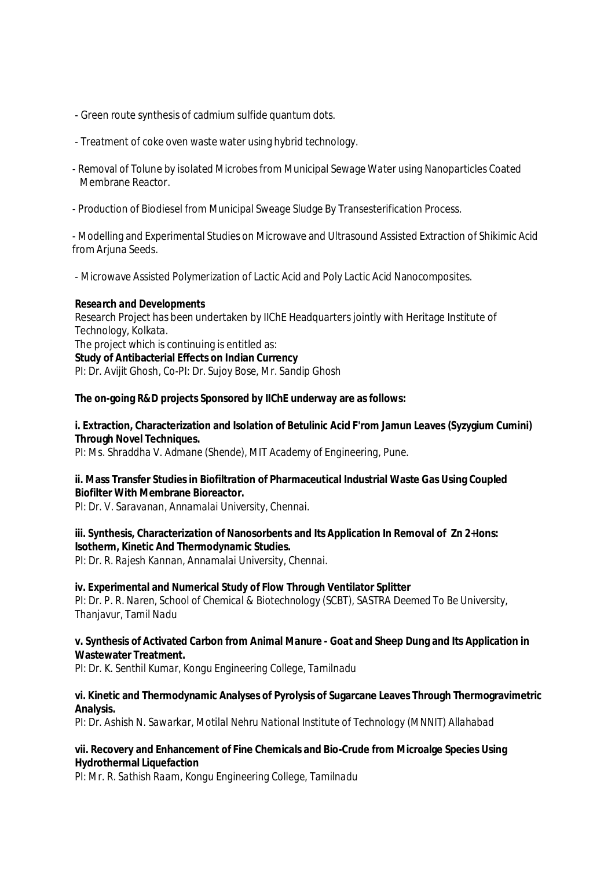- Green route synthesis of cadmium sulfide quantum dots.
- Treatment of coke oven waste water using hybrid technology.
- Removal of Tolune by isolated Microbesfrom Municipal Sewage Water using Nanoparticles Coated Membrane Reactor.
- Production of Biodiesel from Municipal Sweage Sludge By Transesterification Process.

- Modelling and Experimental Studies on Microwave and Ultrasound Assisted Extraction of Shikimic Acid from Arjuna Seeds.

- Microwave Assisted Polymerization of Lactic Acid and Poly Lactic Acid Nanocomposites.

### *Research and Developments*

Research Project has been undertaken by IIChE Headquarters jointly with Heritage Institute of Technology, Kolkata. The project which is continuing is entitled as: **Study of Antibacterial Effects on Indian Currency** *PI: Dr. Avijit Ghosh, Co-PI: Dr. Sujoy Bose, Mr. Sandip Ghosh*

### **The on-going R&D projects Sponsored by IIChE underway are as follows:**

# **i. Extraction, Characterization and Isolation of Betulinic Acid F'rom Jamun Leaves (Syzygium Cumini) Through Novel Techniques.**

*PI: Ms. Shraddha V. Admane (Shende), MIT Academy of Engineering, Pune.*

### **ii. Mass Transfer Studies in Biofiltration of Pharmaceutical Industrial Waste Gas Using Coupled Biofilter With Membrane Bioreactor***.*

*PI: Dr. V. Saravanan, Annamalai University, Chennai.*

### **iii. Synthesis, Characterization of Nanosorbents and Its Application In Removal of Zn 2+Ions: Isotherm, Kinetic And Thermodynamic Studies.**

*PI: Dr. R. Rajesh Kannan, Annamalai University, Chennai.*

### **iv. Experimental and Numerical Study of Flow Through Ventilator Splitter**

*PI: Dr. P. R. Naren, School of Chemical & Biotechnology (SCBT), SASTRA Deemed To Be University, Thanjavur, Tamil Nadu*

### **v. Synthesis of Activated Carbon from Animal Manure - Goat and Sheep Dung and Its Application in Wastewater Treatment.**

*PI: Dr. K. Senthil Kumar, Kongu Engineering College, Tamilnadu*

### **vi. Kinetic and Thermodynamic Analyses of Pyrolysis of Sugarcane Leaves Through Thermogravimetric Analysis.**

*PI: Dr. Ashish N. Sawarkar, Motilal Nehru National Institute of Technology (MNNIT) Allahabad*

### **vii. Recovery and Enhancement of Fine Chemicals and Bio-Crude from Microalge Species Using Hydrothermal Liquefaction**

*PI: Mr. R. Sathish Raam, Kongu Engineering College, Tamilnadu*